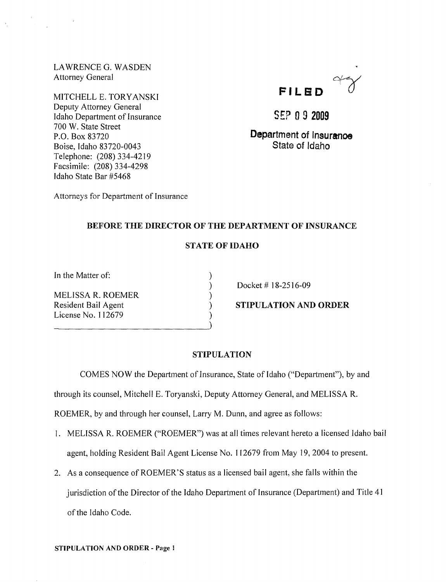LA WRENCE G. WASDEN Attorney General

MITCHELL E. TORYANSKI Deputy Attorney General Idaho Department of Insurance 700 W. State Street P.O. Box 83720 Boise, Idaho 83720-0043 Telephone: (208) 334-4219 Facsimile: (208) 334-4298 Idaho State Bar #5468



S£? **092009** 

**Department of Insuranoe**  State of Idaho

Attorneys for Department of Insurance

# BEFORE THE DIRECTOR OF THE DEPARTMENT OF INSURANCE

# STATE OF IDAHO

) ) ) ) ) )

In the Matter of:

MELISSA R. ROEMER Resident Bail Agent License No. 112679

Docket # 18-2516-09

STIPULATION AND ORDER

### STIPULATION

COMES NOW the Department of Insurance, State of Idaho ("Department"), by and

through its counsel, Mitchell E. Toryanski, Deputy Attorney General, and MELISSA R.

ROEMER, by and through her counsel, Larry M. Dunn, and agree as follows:

- 1. MELISSA R. ROEMER ("ROEMER") was at all times relevant hereto a licensed Idaho bail agent, holding Resident Bail Agent License No. 112679 from May 19,2004 to present.
- 2. As a consequence of ROEMER'S status as a licensed bail agent, she falls within the jurisdiction of the Director of the Idaho Department of Insurance (Department) and Title 41 of the Idaho Code.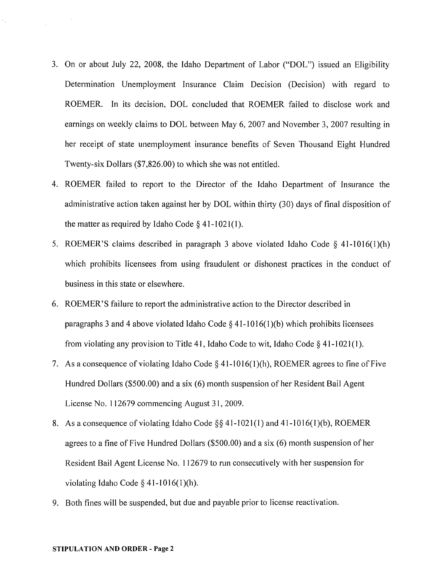- 3. On or about July 22, 2008, the Idaho Department of Labor ("DOL") issued an Eligibility Determination Unemployment Insurance Claim Decision (Decision) with regard to ROEMER. In its decision, DOL concluded that ROEMER failed to disclose work and earnings on weekly claims to DOL between May 6, 2007 and November 3, 2007 resulting in her receipt of state unemployment insurance benefits of Seven Thousand Eight Hundred Twenty-six Dollars (\$7,826.00) to which she was not entitled.
- 4. ROEMER failed to report to the Director of the Idaho Depatiment of Insurance the administrative action taken against her by DOL within thirty (30) days of final disposition of the matter as required by Idaho Code  $\S$  41-1021(1).
- 5. ROEMER'S claims described in paragraph 3 above violated Idaho Code § 41-1016(1)(h) which prohibits licensees from using fraudulent or dishonest practices in the conduct of business in this state or elsewhere.
- 6. ROEMER'S failure to report the administrative action to the Director described in paragraphs 3 and 4 above violated Idaho Code  $\S$  41-1016(1)(b) which prohibits licensees from violating any provision to Title 41, Idaho Code to wit, Idaho Code  $\S$  41-1021(1).
- 7. As a consequence of violating Idaho Code § 41-1016(1)(h), ROEMER agrees to fine of Five Hundred Dollars (\$500.00) and a six (6) month suspension of her Resident Bail Agent License No. 112679 commencing August 31,2009.
- 8. As a consequence of violating Idaho Code §§ 41-1021(1) and 41-1016(1)(b), ROEMER agrees to a fine of Five Hundred Dollars (\$500.00) and a six (6) month suspension of her Resident Bail Agent License No. 112679 to run consecutively with her suspension for violating Idaho Code  $\S$  41-1016(1)(h).
- 9. Both fines will be suspended, but due and payable prior to license reactivation.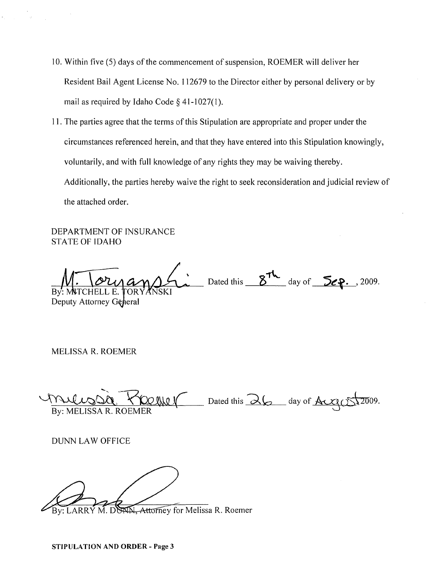- 10. Within five (5) days of the commencement of suspension, ROEMER will deliver her Resident Bail Agent License No. 112679 to the Director either by personal delivery or by mail as required by Idaho Code  $\S$  41-1027(1).
- 1]. The parties agree that the terms of this Stipulation are appropriate and proper under the circumstances referenced herein, and that they have entered into this Stipulation knowingly, voluntarily, and with full knowledge of any rights they may be waiving thereby. Additionally, the patties hereby waive the right to seek reconsideration and judicial review of the attached order.

DEPARTMENT OF INSURANCE STATE OF IDAHO

Dated this  $5\frac{7}{\sqrt{2}}$  day of  $5\epsilon$ ..., 2009. By: MATCHELL E. Deputy Attorney General

MELISSA R. ROEMER

 $\sqrt{1142200}$   $\sqrt{100110}$  Dated this  $\lambda$ 6 day of Aug  $(5\sqrt{2009})$ . By: MELISSA R. ROEMER

DUNN LAW OFFICE

M. Attorney for Melissa R. Roemer By: LARRY M. DC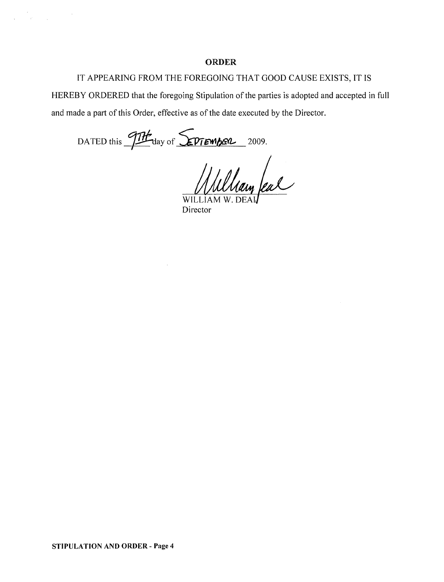#### ORDER

# IT APPEARING FROM THE FOREGOING THAT GOOD CAUSE EXISTS, IT IS

HEREBY ORDERED that the foregoing Stipulation of the parties is adopted and accepted in full and made a part of this Order, effective as of the date executed by the Director.

DATED this  $\frac{97H}{100}$  day of **SPTEMBER** 2009.

 $\bar{z}$ 

 $\label{eq:2.1} \begin{array}{ll} \mathcal{E} & \mathcal{E} \\ \mathcal{E} & \mathcal{E} \\ \mathcal{E} & \mathcal{E} \end{array} \quad \mbox{and} \quad \mathcal{E} = \mathcal{E} \times \mathcal{E} \times \mathcal{E} \times \mathcal{E} \times \mathcal{E} \times \mathcal{E} \times \mathcal{E} \times \mathcal{E} \times \mathcal{E} \times \mathcal{E} \times \mathcal{E} \times \mathcal{E} \times \mathcal{E} \times \mathcal{E} \times \mathcal{E} \times \mathcal{E} \times \mathcal{E} \times \mathcal{E$ 

William feal

WILLIAM W Director